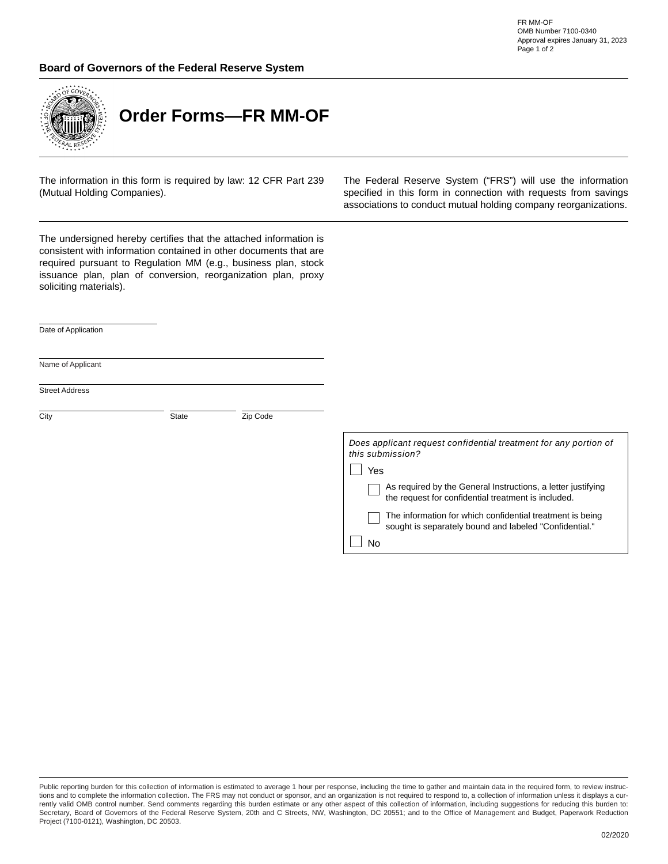FR MM-OF OMB Number 7100-0340 Approval expires January 31, 2023 Page 1 of 2

## **Board of Governors of the Federal Reserve System**



**Order Forms—FR MM-OF**

The information in this form is required by law: 12 CFR Part 239 (Mutual Holding Companies).

The Federal Reserve System ("FRS") will use the information specified in this form in connection with requests from savings associations to conduct mutual holding company reorganizations.

The undersigned hereby certifies that the attached information is consistent with information contained in other documents that are required pursuant to Regulation MM (e.g., business plan, stock issuance plan, plan of conversion, reorganization plan, proxy soliciting materials).

Date of Application

Name of Applicant

Street Address

| City | State | Zip Code |
|------|-------|----------|
|      |       |          |
|      |       |          |

 $\Box$ 

| Does applicant request confidential treatment for any portion of<br>this submission?<br>Yes                         |
|---------------------------------------------------------------------------------------------------------------------|
|                                                                                                                     |
| As required by the General Instructions, a letter justifying<br>the request for confidential treatment is included. |
| The information for which confidential treatment is being<br>sought is separately bound and labeled "Confidential." |
|                                                                                                                     |
|                                                                                                                     |

Public reporting burden for this collection of information is estimated to average 1 hour per response, including the time to gather and maintain data in the required form, to review instructions and to complete the information collection. The FRS may not conduct or sponsor, and an organization is not required to respond to, a collection of information unless it displays a currently valid OMB control number. Send comments regarding this burden estimate or any other aspect of this collection of information, including suggestions for reducing this burden to: Secretary, Board of Governors of the Federal Reserve System, 20th and C Streets, NW, Washington, DC 20551; and to the Office of Management and Budget, Paperwork Reduction Project (7100-0121), Washington, DC 20503.